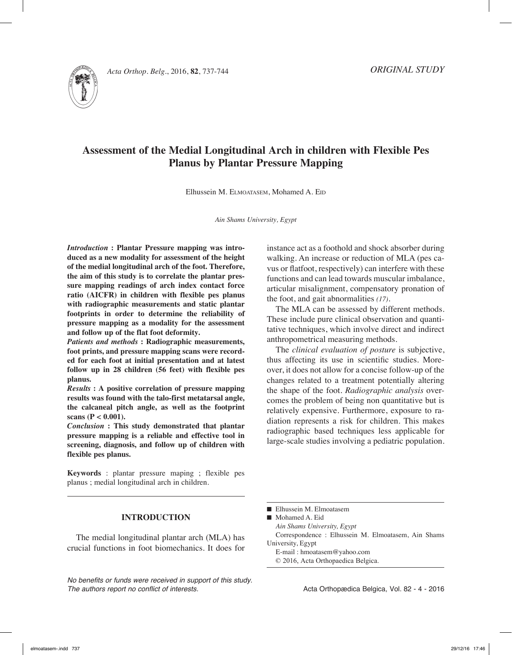

*Acta Orthop. Belg.*, 2016, **82**, 737-744

# **Assessment of the Medial Longitudinal Arch in children with Flexible Pes Planus by Plantar Pressure Mapping**

Elhussein M. ELMOATASEM, Mohamed A. EID

*Ain Shams University, Egypt*

*Introduction* **: Plantar Pressure mapping was introduced as a new modality for assessment of the height of the medial longitudinal arch of the foot. Therefore, the aim of this study is to correlate the plantar pressure mapping readings of arch index contact force ratio (AICFR) in children with flexible pes planus with radiographic measurements and static plantar footprints in order to determine the reliability of pressure mapping as a modality for the assessment and follow up of the flat foot deformity.**

*Patients and methods* **: Radiographic measurements, foot prints, and pressure mapping scans were recorded for each foot at initial presentation and at latest follow up in 28 children (56 feet) with flexible pes planus.**

*Results* **: A positive correlation of pressure mapping results was found with the talo-first metatarsal angle, the calcaneal pitch angle, as well as the footprint scans (P < 0.001).**

*Conclusion* **: This study demonstrated that plantar pressure mapping is a reliable and effective tool in screening, diagnosis, and follow up of children with flexible pes planus.** 

**Keywords** : plantar pressure maping ; flexible pes planus ; medial longitudinal arch in children.

## **Introduction**

The medial longitudinal plantar arch (MLA) has crucial functions in foot biomechanics. It does for

*No benefits or funds were received in support of this study. The authors report no conflict of interests.* 

instance act as a foothold and shock absorber during walking. An increase or reduction of MLA (pes cavus or flatfoot, respectively) can interfere with these functions and can lead towards muscular imbalance, articular misalignment, compensatory pronation of the foot, and gait abnormalities *(17)*.

The MLA can be assessed by different methods. These include pure clinical observation and quantitative techniques, which involve direct and indirect anthropometrical measuring methods.

The *clinical evaluation of posture* is subjective, thus affecting its use in scientific studies. Moreover, it does not allow for a concise follow-up of the changes related to a treatment potentially altering the shape of the foot. *Radiographic analysis* overcomes the problem of being non quantitative but is relatively expensive. Furthermore, exposure to radiation represents a risk for children. This makes radiographic based techniques less applicable for large-scale studies involving a pediatric population.

■ Mohamed A. Eid

*Ain Shams University, Egypt*

Correspondence : Elhussein M. Elmoatasem, Ain Shams University, Egypt

E-mail : hmoatasem@yahoo.com

© 2016, Acta Orthopaedica Belgica.

 $\blacksquare$  Elhussein M. Elmoatasem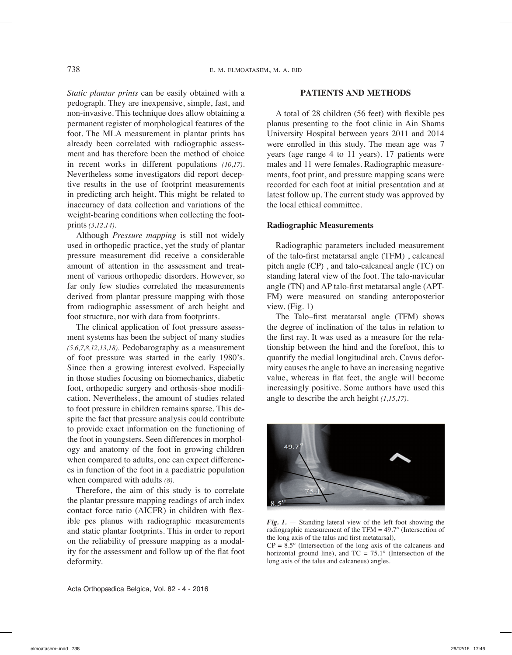*Static plantar prints* can be easily obtained with a pedograph. They are inexpensive, simple, fast, and non-invasive. This technique does allow obtaining a permanent register of morphological features of the foot. The MLA measurement in plantar prints has already been correlated with radiographic assessment and has therefore been the method of choice in recent works in different populations *(10,17)*. Nevertheless some investigators did report deceptive results in the use of footprint measurements in predicting arch height. This might be related to inaccuracy of data collection and variations of the weight-bearing conditions when collecting the footprints *(3,12,14).*

Although *Pressure mapping* is still not widely used in orthopedic practice, yet the study of plantar pressure measurement did receive a considerable amount of attention in the assessment and treatment of various orthopedic disorders. However, so far only few studies correlated the measurements derived from plantar pressure mapping with those from radiographic assessment of arch height and foot structure, nor with data from footprints.

The clinical application of foot pressure assessment systems has been the subject of many studies *(5,6,7,8,12,13,18).* Pedobarography as a measurement of foot pressure was started in the early 1980's. Since then a growing interest evolved. Especially in those studies focusing on biomechanics, diabetic foot, orthopedic surgery and orthosis-shoe modification. Nevertheless, the amount of studies related to foot pressure in children remains sparse. This despite the fact that pressure analysis could contribute to provide exact information on the functioning of the foot in youngsters. Seen differences in morphology and anatomy of the foot in growing children when compared to adults, one can expect differences in function of the foot in a paediatric population when compared with adults *(8).*

Therefore, the aim of this study is to correlate the plantar pressure mapping readings of arch index contact force ratio (AICFR) in children with flexible pes planus with radiographic measurements and static plantar footprints. This in order to report on the reliability of pressure mapping as a modality for the assessment and follow up of the flat foot deformity.

## **Patients and methods**

A total of 28 children (56 feet) with flexible pes planus presenting to the foot clinic in Ain Shams University Hospital between years 2011 and 2014 were enrolled in this study. The mean age was 7 years (age range 4 to 11 years). 17 patients were males and 11 were females. Radiographic measurements, foot print, and pressure mapping scans were recorded for each foot at initial presentation and at latest follow up. The current study was approved by the local ethical committee.

## **Radiographic Measurements**

Radiographic parameters included measurement of the talo-first metatarsal angle (TFM) , calcaneal pitch angle (CP) , and talo-calcaneal angle (TC) on standing lateral view of the foot. The talo-navicular angle (TN) and AP talo-first metatarsal angle (APT-FM) were measured on standing anteroposterior view. (Fig. 1)

The Talo–first metatarsal angle (TFM) shows the degree of inclination of the talus in relation to the first ray. It was used as a measure for the relationship between the hind and the forefoot, this to quantify the medial longitudinal arch. Cavus deformity causes the angle to have an increasing negative value, whereas in flat feet, the angle will become increasingly positive. Some authors have used this angle to describe the arch height *(1,15,17)*.





 $CP = 8.5^{\circ}$  (Intersection of the long axis of the calcaneus and horizontal ground line), and  $TC = 75.1^{\circ}$  (Intersection of the long axis of the talus and calcaneus) angles.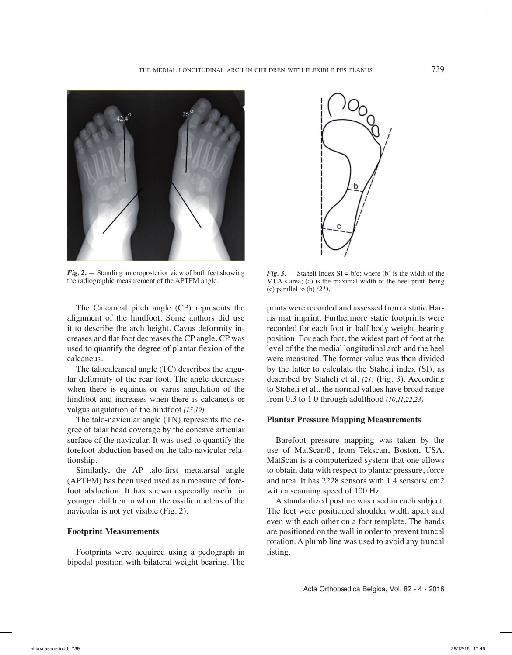

*Fig. 2.* — Standing anteroposterior view of both feet showing the radiographic measurement of the APTFM angle.

The Calcaneal pitch angle (CP) represents the alignment of the hindfoot. Some authors did use it to describe the arch height. Cavus deformity increases and flat foot decreases the CP angle. CP was used to quantify the degree of plantar flexion of the calcaneus.

The talocalcaneal angle (TC) describes the angular deformity of the rear foot. The angle decreases when there is equinus or varus angulation of the hindfoot and increases when there is calcaneus or valgus angulation of the hindfoot *(15,19).*

The talo-navicular angle (TN) represents the degree of talar head coverage by the concave articular surface of the navicular. It was used to quantify the forefoot abduction based on the talo-navicular relationship.

Similarly, the AP talo-first metatarsal angle (APTFM) has been used used as a measure of forefoot abduction. It has shown especially useful in younger children in whom the ossific nucleus of the navicular is not yet visible (Fig. 2).

## **Footprint Measurements**

Footprints were acquired using a pedograph in bipedal position with bilateral weight bearing. The



*Fig. 3.*  $-$  Staheli Index SI = b/c; where (b) is the width of the MLA,s area; (c) is the maximal width of the heel print, being (c) parallel to (b) *(21).*

prints were recorded and assessed from a static Harris mat imprint. Furthermore static footprints were recorded for each foot in half body weight–bearing position. For each foot, the widest part of foot at the level of the the medial longitudinal arch and the heel were measured. The former value was then divided by the latter to calculate the Staheli index (SI), as described by Staheli et al. *(21)* (Fig. 3). According to Staheli et al., the normal values have broad range from 0.3 to 1.0 through adulthood *(10,11,22,23)*.

## **Plantar Pressure Mapping Measurements**

Barefoot pressure mapping was taken by the use of MatScan®, from Tekscan, Boston, USA. MatScan is a computerized system that one allows to obtain data with respect to plantar pressure, force and area. It has 2228 sensors with 1.4 sensors/ cm2 with a scanning speed of 100 Hz.

A standardized posture was used in each subject. The feet were positioned shoulder width apart and even with each other on a foot template. The hands are positioned on the wall in order to prevent truncal rotation. A plumb line was used to avoid any truncal listing.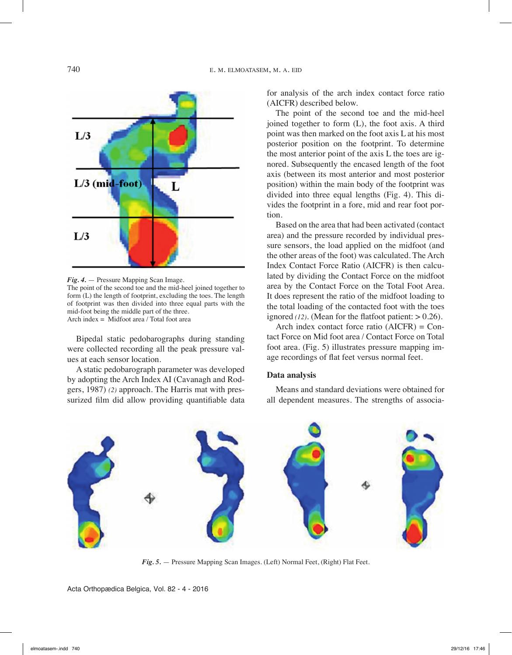

*Fig. 4.* — Pressure Mapping Scan Image.

The point of the second toe and the mid-heel joined together to form (L) the length of footprint, excluding the toes. The length of footprint was then divided into three equal parts with the mid-foot being the middle part of the three. Arch index = Midfoot area / Total foot area

Bipedal static pedobarographs during standing were collected recording all the peak pressure values at each sensor location.

A static pedobarograph parameter was developed by adopting the Arch Index AI (Cavanagh and Rodgers, 1987) *(2)* approach. The Harris mat with pressurized film did allow providing quantifiable data for analysis of the arch index contact force ratio (AICFR) described below.

The point of the second toe and the mid-heel joined together to form (L), the foot axis. A third point was then marked on the foot axis L at his most posterior position on the footprint. To determine the most anterior point of the axis L the toes are ignored. Subsequently the encased length of the foot axis (between its most anterior and most posterior position) within the main body of the footprint was divided into three equal lengths (Fig. 4). This divides the footprint in a fore, mid and rear foot portion.

Based on the area that had been activated (contact area) and the pressure recorded by individual pressure sensors, the load applied on the midfoot (and the other areas of the foot) was calculated. The Arch Index Contact Force Ratio (AICFR) is then calculated by dividing the Contact Force on the midfoot area by the Contact Force on the Total Foot Area. It does represent the ratio of the midfoot loading to the total loading of the contacted foot with the toes ignored  $(12)$ . (Mean for the flatfoot patient:  $> 0.26$ ).

Arch index contact force ratio  $(AICFR) = Con$ tact Force on Mid foot area / Contact Force on Total foot area. (Fig. 5) illustrates pressure mapping image recordings of flat feet versus normal feet.

## **Data analysis**

Means and standard deviations were obtained for all dependent measures. The strengths of associa-



*Fig. 5.* — Pressure Mapping Scan Images. (Left) Normal Feet, (Right) Flat Feet.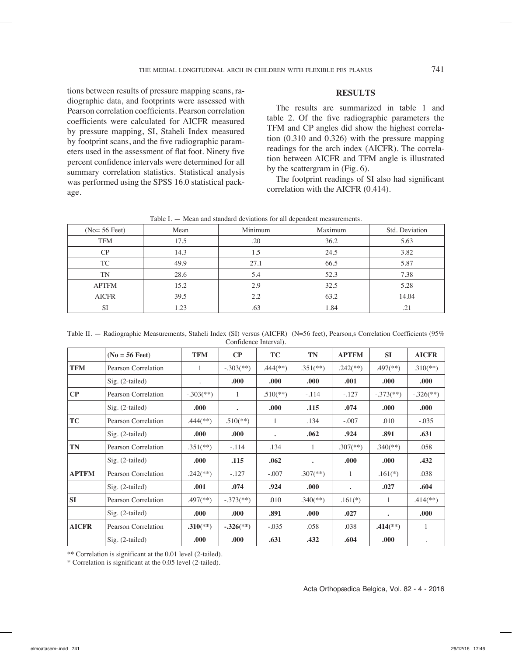tions between results of pressure mapping scans, radiographic data, and footprints were assessed with Pearson correlation coefficients. Pearson correlation coefficients were calculated for AICFR measured by pressure mapping, SI, Staheli Index measured by footprint scans, and the five radiographic parameters used in the assessment of flat foot. Ninety five percent confidence intervals were determined for all summary correlation statistics. Statistical analysis was performed using the SPSS 16.0 statistical package.

## **Results**

The results are summarized in table 1 and table 2. Of the five radiographic parameters the TFM and CP angles did show the highest correlation (0.310 and 0.326) with the pressure mapping readings for the arch index (AICFR). The correlation between AICFR and TFM angle is illustrated by the scattergram in (Fig. 6).

The footprint readings of SI also had significant correlation with the AICFR (0.414).

| $(No=56$ Feet) | Mean | Minimum<br>Maximum |      | Std. Deviation |  |
|----------------|------|--------------------|------|----------------|--|
| <b>TFM</b>     | 17.5 | .20                | 36.2 | 5.63           |  |
| CP             | 14.3 | 1.5                | 24.5 | 3.82           |  |
| TC             | 49.9 | 27.1               | 66.5 | 5.87           |  |
| TN             | 28.6 | 5.4                | 52.3 | 7.38           |  |
| <b>APTFM</b>   | 15.2 | 2.9                | 32.5 | 5.28           |  |
| <b>AICFR</b>   | 39.5 | 2.2                | 63.2 | 14.04          |  |
| <b>SI</b>      | 1.23 | .63                | 1.84 | .21            |  |

Table I. — Mean and standard deviations for all dependent measurements.

Table II. — Radiographic Measurements, Staheli Index (SI) versus (AICFR) (N=56 feet), Pearson,s Correlation Coefficients (95% Confidence Interval).

|              | $(No = 56$ Feet)    | <b>TFM</b>               | $\bf CP$                  | <b>TC</b>   | <b>TN</b>                | <b>APTFM</b>             | SI                       | <b>AICFR</b>             |
|--------------|---------------------|--------------------------|---------------------------|-------------|--------------------------|--------------------------|--------------------------|--------------------------|
| <b>TFM</b>   | Pearson Correlation | 1                        | $-.303$ <sup>**</sup> )   | $.444$ (**) | $.351$ <sup>(**)</sup> ) | $.242$ <sup>**</sup> )   | $.497$ <sup>(**)</sup> ) | $.310(**)$               |
|              | $Sig. (2-tailed)$   | $\ddot{\phantom{0}}$     | .000.                     | .000.       | .000                     | .001                     | .000.                    | .000.                    |
| CP           | Pearson Correlation |                          | -1                        | $.510(**)$  | $-.114$                  | $-.127$                  | $-.373$ <sup>**</sup> )  | $-.326$ <sup>**</sup> )  |
|              | $Sig. (2-tailed)$   | .000.                    | $\bullet$                 | .000.       | .115                     | .074                     | .000                     | .000.                    |
| <b>TC</b>    | Pearson Correlation | $.444$ (**)              | $.510$ <sup>(**)</sup> )  |             | .134                     | $-.007$                  | .010                     | $-.035$                  |
|              | $Sig. (2-tailed)$   | .000.                    | .000                      | $\bullet$   | .062                     | .924                     | .891                     | .631                     |
| TN           | Pearson Correlation | $.351$ <sup>(**)</sup> ) | $-.114$                   | .134        | 1                        | $.307$ <sup>(**)</sup> ) | $.340$ <sup>(**)</sup> ) | .058                     |
|              | $Sig. (2-tailed)$   | .000.                    | .115                      | .062        | $\bullet$                | .000                     | .000.                    | .432                     |
| <b>APTFM</b> | Pearson Correlation | $.242$ <sup>**</sup> )   | $-.127$                   | $-.007$     | $.307$ <sup>(**)</sup> ) | 1                        | $.161(*)$                | .038                     |
|              | $Sig. (2-tailed)$   | .001                     | .074                      | .924        | .000                     | $\bullet$                | .027                     | .604                     |
| <b>SI</b>    | Pearson Correlation | $.497$ <sup>(**)</sup> ) | $-.373$ <sup>**</sup> )   | .010        | $.340$ <sup>(**)</sup> ) | $.161(*)$                | 1                        | $.414$ <sup>(**)</sup> ) |
|              | $Sig. (2-tailed)$   | .000.                    | .000                      | .891        | .000                     | .027                     | $\bullet$                | .000.                    |
| <b>AICFR</b> | Pearson Correlation | $.310^{**}$              | $-.326$ <sup>(**)</sup> ) | $-.035$     | .058                     | .038                     | $.414$ <sup>(**)</sup> ) | 1                        |
|              | $Sig. (2-tailed)$   | .000                     | .000                      | .631        | .432                     | .604                     | .000.                    |                          |

\*\* Correlation is significant at the 0.01 level (2-tailed).

\* Correlation is significant at the 0.05 level (2-tailed).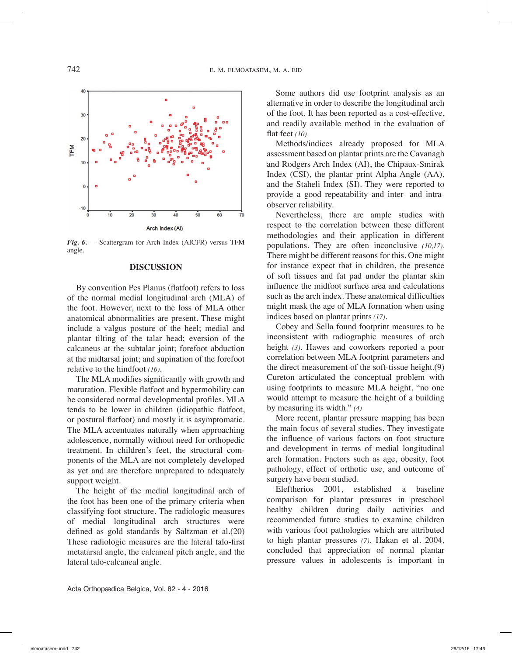

*Fig. 6.* — Scattergram for Arch Index (AICFR) versus TFM angle.

## **Discussion**

By convention Pes Planus (flatfoot) refers to loss of the normal medial longitudinal arch (MLA) of the foot. However, next to the loss of MLA other anatomical abnormalities are present. These might include a valgus posture of the heel; medial and plantar tilting of the talar head; eversion of the calcaneus at the subtalar joint; forefoot abduction at the midtarsal joint; and supination of the forefoot relative to the hindfoot *(16).*

The MLA modifies significantly with growth and maturation. Flexible flatfoot and hypermobility can be considered normal developmental profiles. MLA tends to be lower in children (idiopathic flatfoot, or postural flatfoot) and mostly it is asymptomatic. The MLA accentuates naturally when approaching adolescence, normally without need for orthopedic treatment. In children's feet, the structural components of the MLA are not completely developed as yet and are therefore unprepared to adequately support weight.

The height of the medial longitudinal arch of the foot has been one of the primary criteria when classifying foot structure. The radiologic measures of medial longitudinal arch structures were defined as gold standards by Saltzman et al.(20) These radiologic measures are the lateral talo-first metatarsal angle, the calcaneal pitch angle, and the lateral talo-calcaneal angle.

Some authors did use footprint analysis as an alternative in order to describe the longitudinal arch of the foot. It has been reported as a cost-effective, and readily available method in the evaluation of flat feet *(10).*

Methods/indices already proposed for MLA assessment based on plantar prints are the Cavanagh and Rodgers Arch Index (AI), the Chipaux-Smirak Index (CSI), the plantar print Alpha Angle (AA), and the Staheli Index (SI). They were reported to provide a good repeatability and inter- and intraobserver reliability.

Nevertheless, there are ample studies with respect to the correlation between these different methodologies and their application in different populations. They are often inconclusive *(10,17).* There might be different reasons for this. One might for instance expect that in children, the presence of soft tissues and fat pad under the plantar skin influence the midfoot surface area and calculations such as the arch index. These anatomical difficulties might mask the age of MLA formation when using indices based on plantar prints *(17)*.

Cobey and Sella found footprint measures to be inconsistent with radiographic measures of arch height *(3)*. Hawes and coworkers reported a poor correlation between MLA footprint parameters and the direct measurement of the soft-tissue height.(9) Cureton articulated the conceptual problem with using footprints to measure MLA height, "no one would attempt to measure the height of a building by measuring its width." *(4)*

More recent, plantar pressure mapping has been the main focus of several studies. They investigate the influence of various factors on foot structure and development in terms of medial longitudinal arch formation. Factors such as age, obesity, foot pathology, effect of orthotic use, and outcome of surgery have been studied.

Eleftherios 2001, established a baseline comparison for plantar pressures in preschool healthy children during daily activities and recommended future studies to examine children with various foot pathologies which are attributed to high plantar pressures *(7)*. Hakan et al. 2004, concluded that appreciation of normal plantar pressure values in adolescents is important in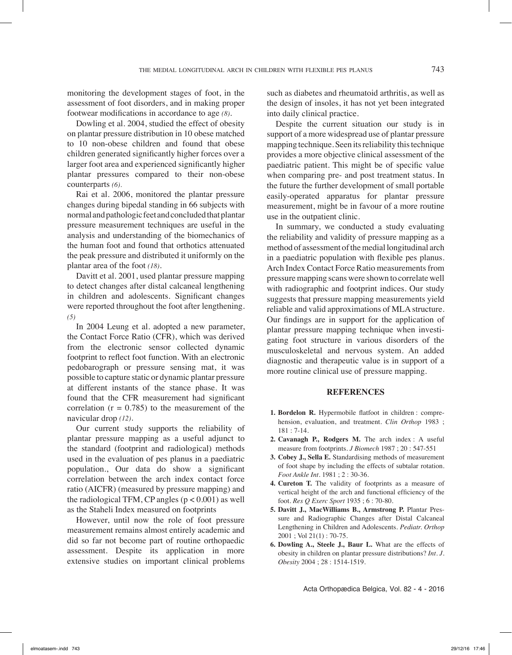monitoring the development stages of foot, in the assessment of foot disorders, and in making proper footwear modifications in accordance to age *(8)*.

Dowling et al. 2004, studied the effect of obesity on plantar pressure distribution in 10 obese matched to 10 non-obese children and found that obese children generated significantly higher forces over a larger foot area and experienced significantly higher plantar pressures compared to their non-obese counterparts *(6).*

Rai et al. 2006, monitored the plantar pressure changes during bipedal standing in 66 subjects with normal and pathologic feet and concluded that plantar pressure measurement techniques are useful in the analysis and understanding of the biomechanics of the human foot and found that orthotics attenuated the peak pressure and distributed it uniformly on the plantar area of the foot *(18)*.

Davitt et al. 2001, used plantar pressure mapping to detect changes after distal calcaneal lengthening in children and adolescents. Significant changes were reported throughout the foot after lengthening. *(5)*

In 2004 Leung et al. adopted a new parameter, the Contact Force Ratio (CFR), which was derived from the electronic sensor collected dynamic footprint to reflect foot function. With an electronic pedobarograph or pressure sensing mat, it was possible to capture static or dynamic plantar pressure at different instants of the stance phase. It was found that the CFR measurement had significant correlation ( $r = 0.785$ ) to the measurement of the navicular drop *(12)*.

Our current study supports the reliability of plantar pressure mapping as a useful adjunct to the standard (footprint and radiological) methods used in the evaluation of pes planus in a paediatric population., Our data do show a significant correlation between the arch index contact force ratio (AICFR) (measured by pressure mapping) and the radiological TFM, CP angles  $(p < 0.001)$  as well as the Staheli Index measured on footprints

However, until now the role of foot pressure measurement remains almost entirely academic and did so far not become part of routine orthopaedic assessment. Despite its application in more extensive studies on important clinical problems

such as diabetes and rheumatoid arthritis, as well as the design of insoles, it has not yet been integrated into daily clinical practice.

Despite the current situation our study is in support of a more widespread use of plantar pressure mapping technique. Seen its reliability this technique provides a more objective clinical assessment of the paediatric patient. This might be of specific value when comparing pre- and post treatment status. In the future the further development of small portable easily-operated apparatus for plantar pressure measurement, might be in favour of a more routine use in the outpatient clinic.

In summary, we conducted a study evaluating the reliability and validity of pressure mapping as a method of assessment of the medial longitudinal arch in a paediatric population with flexible pes planus. Arch Index Contact Force Ratio measurements from pressure mapping scans were shown to correlate well with radiographic and footprint indices. Our study suggests that pressure mapping measurements yield reliable and valid approximations of MLA structure. Our findings are in support for the application of plantar pressure mapping technique when investigating foot structure in various disorders of the musculoskeletal and nervous system. An added diagnostic and therapeutic value is in support of a more routine clinical use of pressure mapping.

## **References**

- **1. Bordelon R.** Hypermobile flatfoot in children : comprehension, evaluation, and treatment. *Clin Orthop* 1983 ; 181 : 7-14.
- **2. Cavanagh P., Rodgers M.** The arch index : A useful measure from footprints. *J Biomech* 1987 ; 20 : 547-551
- **3. Cobey J., Sella E.** Standardising methods of measurement of foot shape by including the effects of subtalar rotation. *Foot Ankle Int.* 1981 ; 2 : 30-36.
- **4. Cureton T.** The validity of footprints as a measure of vertical height of the arch and functional efficiency of the foot. *Res Q Exerc Sport* 1935 ; 6 : 70-80.
- **5. Davitt J., MacWilliams B., Armstrong P.** Plantar Pressure and Radiographic Changes after Distal Calcaneal Lengthening in Children and Adolescents. *Pediatr. Orthop*  2001 ; Vol 21(1) : 70-75.
- **6. Dowling A., Steele J., Baur L.** What are the effects of obesity in children on plantar pressure distributions? *Int. J. Obesity* 2004 ; 28 : 1514-1519.